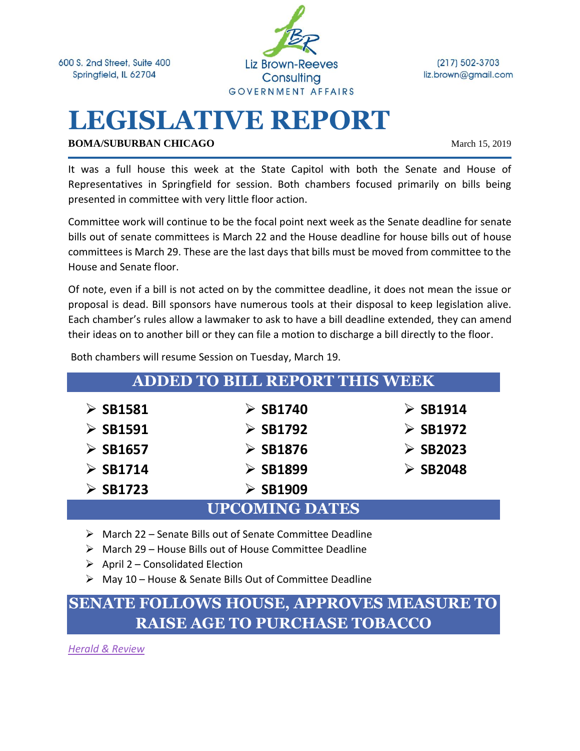600 S. 2nd Street, Suite 400 Springfield, IL 62704



 $(217) 502 - 3703$ liz.brown@gmail.com

# **LEGISLATIVE REPORT**

**BOMA/SUBURBAN CHICAGO** March 15, 2019

It was a full house this week at the State Capitol with both the Senate and House of Representatives in Springfield for session. Both chambers focused primarily on bills being presented in committee with very little floor action.

Committee work will continue to be the focal point next week as the Senate deadline for senate bills out of senate committees is March 22 and the House deadline for house bills out of house committees is March 29. These are the last days that bills must be moved from committee to the House and Senate floor.

Of note, even if a bill is not acted on by the committee deadline, it does not mean the issue or proposal is dead. Bill sponsors have numerous tools at their disposal to keep legislation alive. Each chamber's rules allow a lawmaker to ask to have a bill deadline extended, they can amend their ideas on to another bill or they can file a motion to discharge a bill directly to the floor.

| <b>ADDED TO BILL REPORT THIS WEEK</b> |                         |                         |
|---------------------------------------|-------------------------|-------------------------|
| $\triangleright$ SB1581               | $\triangleright$ SB1740 | $\triangleright$ SB1914 |
| $\triangleright$ SB1591               | $\triangleright$ SB1792 | $\triangleright$ SB1972 |
| $\triangleright$ SB1657               | $\geq$ SB1876           | $\triangleright$ SB2023 |
| $\triangleright$ SB1714               | $\triangleright$ SB1899 | $\triangleright$ SB2048 |
| $\triangleright$ SB1723               | $\triangleright$ SB1909 |                         |
| <b>UPCOMING DATES</b>                 |                         |                         |

Both chambers will resume Session on Tuesday, March 19.

- ➢ March 22 Senate Bills out of Senate Committee Deadline
- ➢ March 29 House Bills out of House Committee Deadline
- $\triangleright$  April 2 Consolidated Election
- ➢ May 10 House & Senate Bills Out of Committee Deadline

# **SENATE FOLLOWS HOUSE, APPROVES MEASURE TO RAISE AGE TO PURCHASE TOBACCO**

*[Herald & Review](https://herald-review.com/news/state-and-regional/govt-and-politics/ban-on-tobacco-sales-to-minors-goes-to-pritzker-s/article_ab54ce83-4c6a-58fc-a885-3fff3510882b.html)*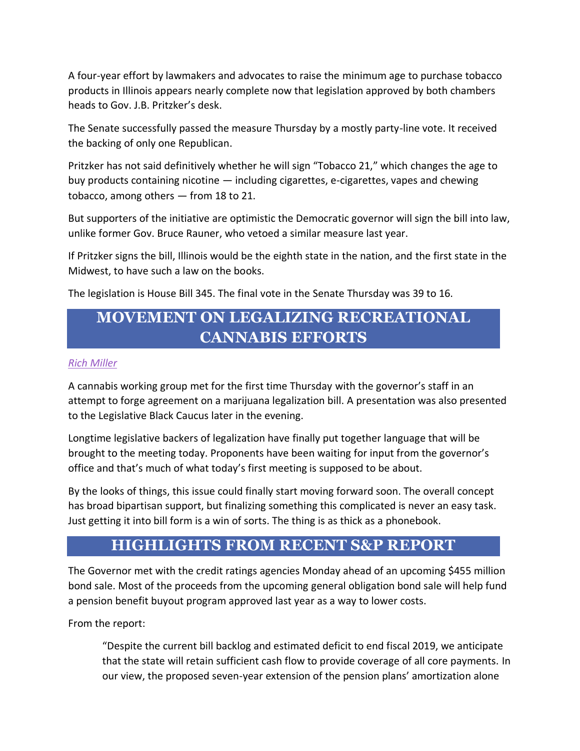A four-year effort by lawmakers and advocates to raise the minimum age to purchase tobacco products in Illinois appears nearly complete now that legislation approved by both chambers heads to Gov. J.B. Pritzker's desk.

The Senate successfully passed the measure Thursday by a mostly party-line vote. It received the backing of only one Republican.

Pritzker has not said definitively whether he will sign "Tobacco 21," which changes the age to buy products containing nicotine — including cigarettes, e-cigarettes, vapes and chewing tobacco, among others — from 18 to 21.

But supporters of the initiative are optimistic the Democratic governor will sign the bill into law, unlike former Gov. Bruce Rauner, who vetoed a similar measure last year.

If Pritzker signs the bill, Illinois would be the eighth state in the nation, and the first state in the Midwest, to have such a law on the books.

The legislation is House Bill 345. The final vote in the Senate Thursday was 39 to 16.

# **MOVEMENT ON LEGALIZING RECREATIONAL CANNABIS EFFORTS**

#### *[Rich Miller](https://capitolfax.com/)*

A cannabis working group met for the first time Thursday with the governor's staff in an attempt to forge agreement on a marijuana legalization bill. A presentation was also presented to the Legislative Black Caucus later in the evening.

Longtime legislative backers of legalization have finally put together language that will be brought to the meeting today. Proponents have been waiting for input from the governor's office and that's much of what today's first meeting is supposed to be about.

By the looks of things, this issue could finally start moving forward soon. The overall concept has broad bipartisan support, but finalizing something this complicated is never an easy task. Just getting it into bill form is a win of sorts. The thing is as thick as a phonebook.

### **HIGHLIGHTS FROM RECENT S&P REPORT**

The Governor met with the credit ratings agencies Monday ahead of an upcoming \$455 million bond sale. Most of the proceeds from the upcoming general obligation bond sale will help fund a pension benefit buyout program approved last year as a way to lower costs.

From the report:

"Despite the current bill backlog and estimated deficit to end fiscal 2019, we anticipate that the state will retain sufficient cash flow to provide coverage of all core payments. In our view, the proposed seven-year extension of the pension plans' amortization alone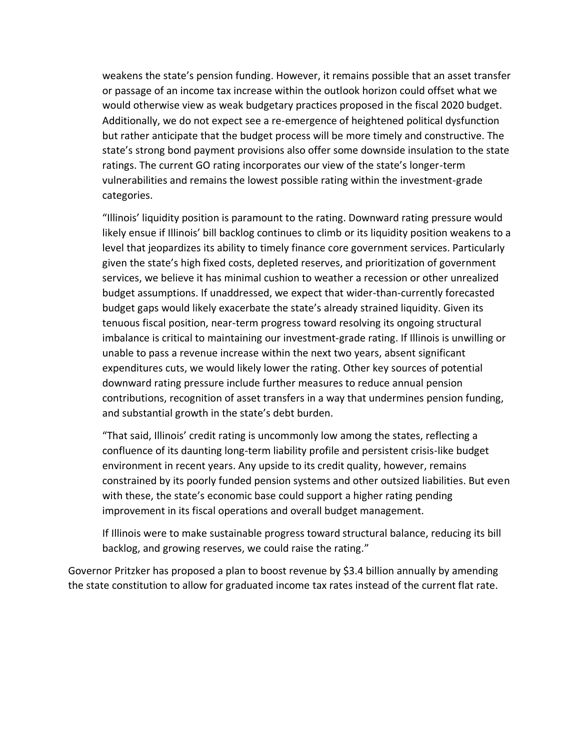weakens the state's pension funding. However, it remains possible that an asset transfer or passage of an income tax increase within the outlook horizon could offset what we would otherwise view as weak budgetary practices proposed in the fiscal 2020 budget. Additionally, we do not expect see a re-emergence of heightened political dysfunction but rather anticipate that the budget process will be more timely and constructive. The state's strong bond payment provisions also offer some downside insulation to the state ratings. The current GO rating incorporates our view of the state's longer-term vulnerabilities and remains the lowest possible rating within the investment-grade categories.

"Illinois' liquidity position is paramount to the rating. Downward rating pressure would likely ensue if Illinois' bill backlog continues to climb or its liquidity position weakens to a level that jeopardizes its ability to timely finance core government services. Particularly given the state's high fixed costs, depleted reserves, and prioritization of government services, we believe it has minimal cushion to weather a recession or other unrealized budget assumptions. If unaddressed, we expect that wider-than-currently forecasted budget gaps would likely exacerbate the state's already strained liquidity. Given its tenuous fiscal position, near-term progress toward resolving its ongoing structural imbalance is critical to maintaining our investment-grade rating. If Illinois is unwilling or unable to pass a revenue increase within the next two years, absent significant expenditures cuts, we would likely lower the rating. Other key sources of potential downward rating pressure include further measures to reduce annual pension contributions, recognition of asset transfers in a way that undermines pension funding, and substantial growth in the state's debt burden.

"That said, Illinois' credit rating is uncommonly low among the states, reflecting a confluence of its daunting long-term liability profile and persistent crisis-like budget environment in recent years. Any upside to its credit quality, however, remains constrained by its poorly funded pension systems and other outsized liabilities. But even with these, the state's economic base could support a higher rating pending improvement in its fiscal operations and overall budget management.

If Illinois were to make sustainable progress toward structural balance, reducing its bill backlog, and growing reserves, we could raise the rating."

Governor Pritzker has proposed a plan to boost revenue by \$3.4 billion annually by amending the state constitution to allow for graduated income tax rates instead of the current flat rate.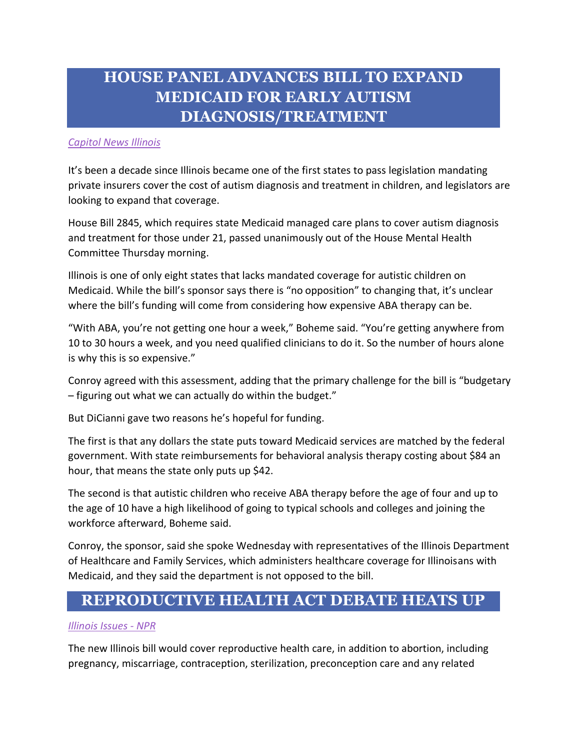# **HOUSE PANEL ADVANCES BILL TO EXPAND MEDICAID FOR EARLY AUTISM DIAGNOSIS/TREATMENT**

#### *[Capitol News Illinois](https://herald-review.com/news/state-and-regional/govt-and-politics/house-panel-advances-bill-to-expand-medicaid-coverage-for-early/article_fff03f9f-bf22-58df-816e-635a543477e1.html)*

It's been a decade since Illinois became one of the first states to pass legislation mandating private insurers cover the cost of autism diagnosis and treatment in children, and legislators are looking to expand that coverage.

House Bill 2845, which requires state Medicaid managed care plans to cover autism diagnosis and treatment for those under 21, passed unanimously out of the House Mental Health Committee Thursday morning.

Illinois is one of only eight states that lacks mandated coverage for autistic children on Medicaid. While the bill's sponsor says there is "no opposition" to changing that, it's unclear where the bill's funding will come from considering how expensive ABA therapy can be.

"With ABA, you're not getting one hour a week," Boheme said. "You're getting anywhere from 10 to 30 hours a week, and you need qualified clinicians to do it. So the number of hours alone is why this is so expensive."

Conroy agreed with this assessment, adding that the primary challenge for the bill is "budgetary – figuring out what we can actually do within the budget."

But DiCianni gave two reasons he's hopeful for funding.

The first is that any dollars the state puts toward Medicaid services are matched by the federal government. With state reimbursements for behavioral analysis therapy costing about \$84 an hour, that means the state only puts up \$42.

The second is that autistic children who receive ABA therapy before the age of four and up to the age of 10 have a high likelihood of going to typical schools and colleges and joining the workforce afterward, Boheme said.

Conroy, the sponsor, said she spoke Wednesday with representatives of the Illinois Department of Healthcare and Family Services, which administers healthcare coverage for Illinoisans with Medicaid, and they said the department is not opposed to the bill.

### **REPRODUCTIVE HEALTH ACT DEBATE HEATS UP**

#### *[Illinois Issues -](http://www.nprillinois.org/post/abortion-debate-about-heat-illinois#stream/0) NPR*

The new Illinois bill would cover reproductive health care, in addition to abortion, including pregnancy, miscarriage, contraception, sterilization, preconception care and any related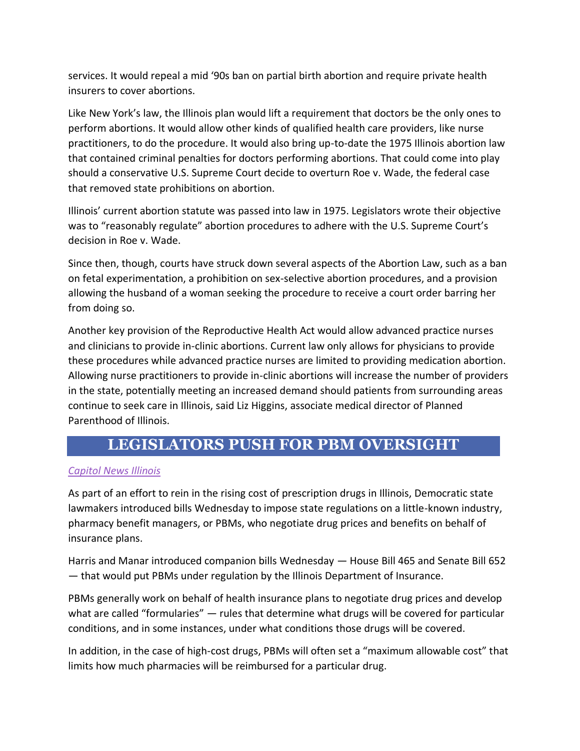services. It would repeal a mid '90s ban on partial birth abortion and require private health insurers to cover abortions.

Like New York's law, the Illinois plan would lift a requirement that doctors be the only ones to perform abortions. It would allow other kinds of qualified health care providers, like nurse practitioners, to do the procedure. It would also bring up-to-date the 1975 Illinois abortion law that contained criminal penalties for doctors performing abortions. That could come into play should a conservative U.S. Supreme Court decide to overturn Roe v. Wade, the federal case that removed state prohibitions on abortion.

Illinois' current abortion statute was passed into law in 1975. Legislators wrote their objective was to "reasonably regulate" abortion procedures to adhere with the U.S. Supreme Court's decision in Roe v. Wade.

Since then, though, courts have struck down several aspects of the Abortion Law, such as a ban on fetal experimentation, a prohibition on sex-selective abortion procedures, and a provision allowing the husband of a woman seeking the procedure to receive a court order barring her from doing so.

Another key provision of the Reproductive Health Act would allow advanced practice nurses and clinicians to provide in-clinic abortions. Current law only allows for physicians to provide these procedures while advanced practice nurses are limited to providing medication abortion. Allowing nurse practitioners to provide in-clinic abortions will increase the number of providers in the state, potentially meeting an increased demand should patients from surrounding areas continue to seek care in Illinois, said Liz Higgins, associate medical director of Planned Parenthood of Illinois.

### **LEGISLATORS PUSH FOR PBM OVERSIGHT**

#### *[Capitol News Illinois](https://www.sj-r.com/news/20190313/new-bills-target-pharmacy-middlemen-for-state-regulation)*

As part of an effort to rein in the rising cost of prescription drugs in Illinois, Democratic state lawmakers introduced bills Wednesday to impose state regulations on a little-known industry, pharmacy benefit managers, or PBMs, who negotiate drug prices and benefits on behalf of insurance plans.

Harris and Manar introduced companion bills Wednesday — House Bill 465 and Senate Bill 652 — that would put PBMs under regulation by the Illinois Department of Insurance.

PBMs generally work on behalf of health insurance plans to negotiate drug prices and develop what are called "formularies" — rules that determine what drugs will be covered for particular conditions, and in some instances, under what conditions those drugs will be covered.

In addition, in the case of high-cost drugs, PBMs will often set a "maximum allowable cost" that limits how much pharmacies will be reimbursed for a particular drug.